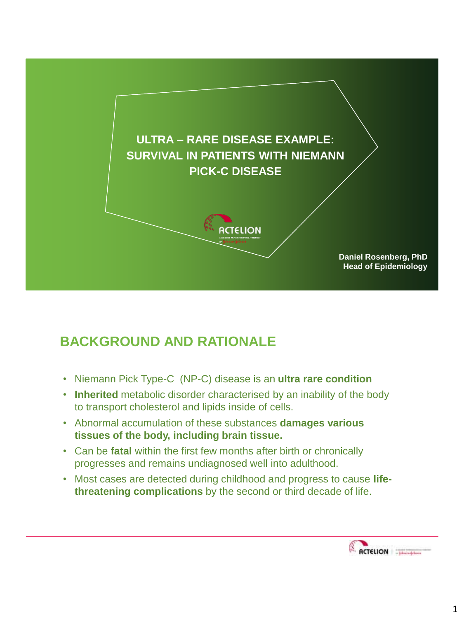

## **BACKGROUND AND RATIONALE**

- Niemann Pick Type-C (NP-C) disease is an **ultra rare condition**
- **Inherited** metabolic disorder characterised by an inability of the body to transport cholesterol and lipids inside of cells.
- Abnormal accumulation of these substances **damages various tissues of the body, including brain tissue.**
- Can be **fatal** within the first few months after birth or chronically progresses and remains undiagnosed well into adulthood.
- Most cases are detected during childhood and progress to cause **lifethreatening complications** by the second or third decade of life.

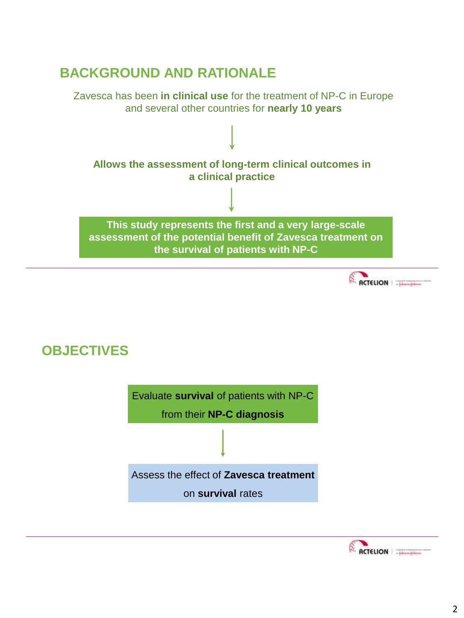## **BACKGROUND AND RATIONALE**

Zavesca has been **in clinical use** for the treatment of NP-C in Europe and several other countries for **nearly 10 years** 







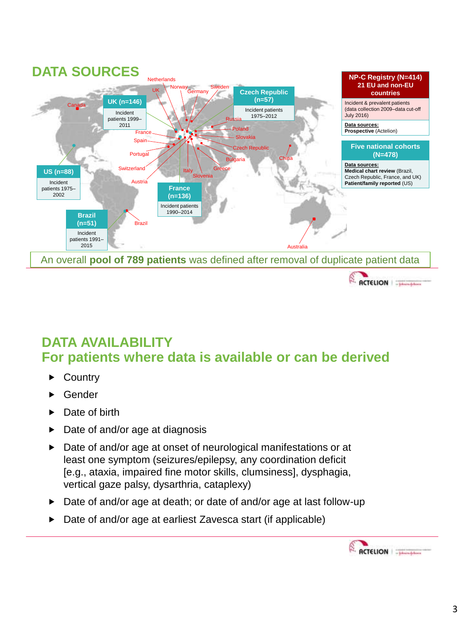

### **DATA AVAILABILITY For patients where data is available or can be derived**

- ▶ Country
- Gender
- ▶ Date of birth
- $\triangleright$  Date of and/or age at diagnosis
- Date of and/or age at onset of neurological manifestations or at least one symptom (seizures/epilepsy, any coordination deficit [e.g., ataxia, impaired fine motor skills, clumsiness], dysphagia, vertical gaze palsy, dysarthria, cataplexy)
- ▶ Date of and/or age at death; or date of and/or age at last follow-up
- ▶ Date of and/or age at earliest Zavesca start (if applicable)

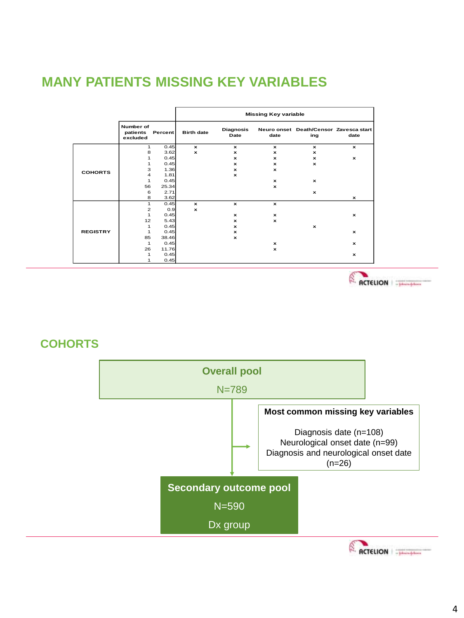### **MANY PATIENTS MISSING KEY VARIABLES**

|                 |                                   |         | <b>Missing Key variable</b> |                          |              |                                               |              |
|-----------------|-----------------------------------|---------|-----------------------------|--------------------------|--------------|-----------------------------------------------|--------------|
|                 | Number of<br>patients<br>excluded | Percent | <b>Birth date</b>           | <b>Diagnosis</b><br>Date | date         | Neuro onset Death/Censor Zavesca start<br>ing | date         |
|                 | 1                                 | 0.45    | $\mathbf{x}$                | $\mathbf{x}$             | $\mathbf{x}$ | $\mathbf{x}$                                  | $\mathbf{x}$ |
| <b>COHORTS</b>  | 8                                 | 3.62    | $\mathbf{x}$                | $\mathbf{x}$             | $\mathbf x$  | $\mathbf{x}$                                  |              |
|                 | 1                                 | 0.45    |                             | $\mathbf{x}$             | $\mathbf x$  | x                                             | $\mathbf{x}$ |
|                 | 1                                 | 0.45    |                             | $\mathbf{x}$             | $\mathbf x$  | $\mathbf{x}$                                  |              |
|                 | 3                                 | 1.36    |                             | $\mathbf{x}$             | ×            |                                               |              |
|                 | $\overline{4}$                    | 1.81    |                             | $\mathbf{x}$             |              |                                               |              |
|                 | 1                                 | 0.45    |                             |                          | x            | $\boldsymbol{\mathsf{x}}$                     |              |
|                 | 56                                | 25.34   |                             |                          | ×            |                                               |              |
|                 | 6                                 | 2.71    |                             |                          |              | $\mathbf{x}$                                  |              |
|                 | 8                                 | 3.62    |                             |                          |              |                                               | $\mathbf{x}$ |
|                 | 1                                 | 0.45    | $\mathbf{x}$                | $\mathbf{x}$             | $\mathbf{x}$ |                                               |              |
|                 | $\overline{2}$                    | 0.9     | $\mathbf{x}$                |                          |              |                                               |              |
|                 | 1                                 | 0.45    |                             | $\mathbf{x}$             | $\mathbf x$  |                                               | $\mathbf{x}$ |
|                 | 12                                | 5.43    |                             | $\mathbf{x}$             | $\mathbf x$  |                                               |              |
|                 | 1                                 | 0.45    |                             | $\mathbf{x}$             |              | $\mathbf{x}$                                  |              |
| <b>REGISTRY</b> | 1                                 | 0.45    |                             | $\mathbf{x}$             |              |                                               | $\mathbf{x}$ |
|                 | 85                                | 38.46   |                             | $\mathbf{x}$             |              |                                               |              |
|                 | 1                                 | 0.45    |                             |                          | ×            |                                               | $\mathbf{x}$ |
|                 | 26                                | 11.76   |                             |                          | $\mathbf x$  |                                               |              |
|                 | 1                                 | 0.45    |                             |                          |              |                                               | $\mathbf{x}$ |
|                 | 1                                 | 0.45    |                             |                          |              |                                               |              |

ACTELION | T

#### **COHORTS**

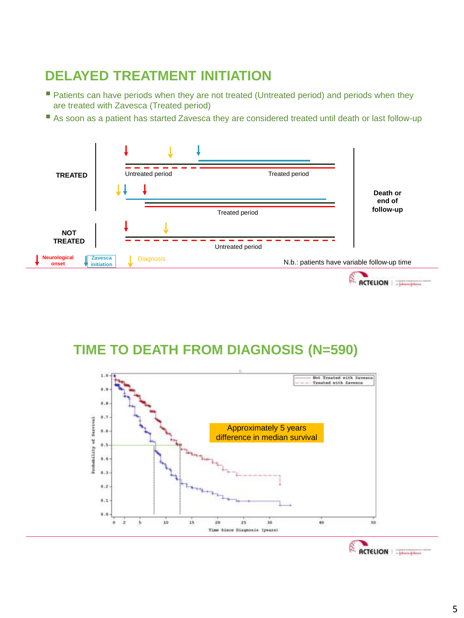## **DELAYED TREATMENT INITIATION**

- **Patients can have periods when they are not treated (Untreated period) and periods when they** are treated with Zavesca (Treated period)
- As soon as a patient has started Zavesca they are considered treated until death or last follow-up





### **TIME TO DEATH FROM DIAGNOSIS (N=590)**